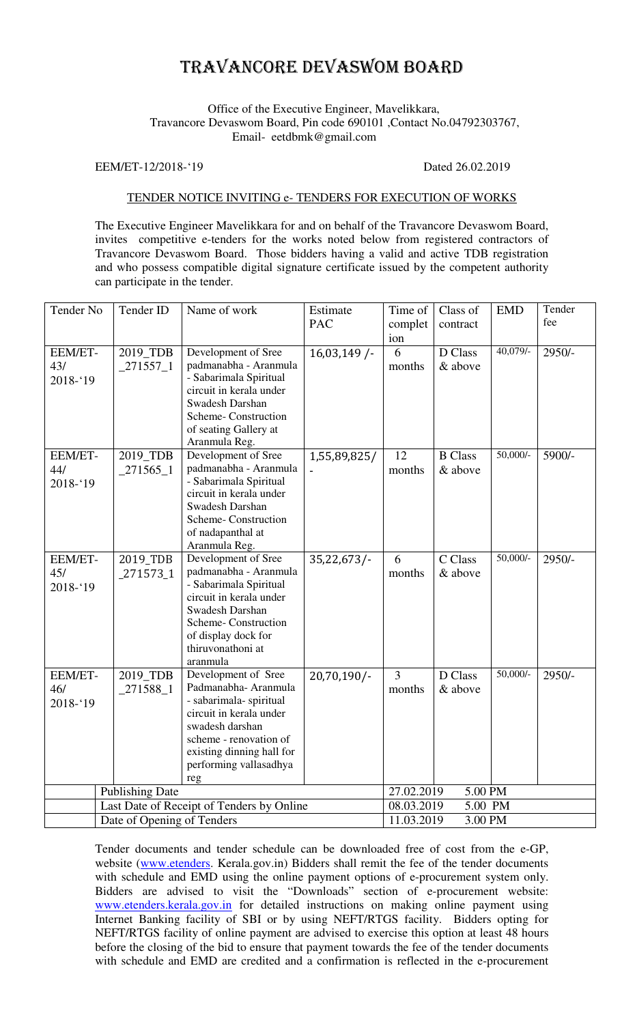## TRAVANCORE DEVASWOM BOARD

## Office of the Executive Engineer, Mavelikkara, Travancore Devaswom Board, Pin code 690101 ,Contact No.04792303767, Email- eetdbmk@gmail.com

## EEM/ET-12/2018-'19 Dated 26.02.2019

## TENDER NOTICE INVITING e- TENDERS FOR EXECUTION OF WORKS

The Executive Engineer Mavelikkara for and on behalf of the Travancore Devaswom Board, invites competitive e-tenders for the works noted below from registered contractors of Travancore Devaswom Board. Those bidders having a valid and active TDB registration and who possess compatible digital signature certificate issued by the competent authority can participate in the tender.

| Tender No                     | Tender ID                                 | Name of work                                                                                                                                                                          | Estimate       | Time of        | Class of              | <b>EMD</b>  | Tender |  |
|-------------------------------|-------------------------------------------|---------------------------------------------------------------------------------------------------------------------------------------------------------------------------------------|----------------|----------------|-----------------------|-------------|--------|--|
|                               |                                           |                                                                                                                                                                                       | <b>PAC</b>     | complet        | contract              |             | fee    |  |
|                               |                                           |                                                                                                                                                                                       |                | ion            |                       |             |        |  |
| EEM/ET-<br>43/<br>$2018 - 19$ | 2019_TDB<br>$271557$ <sub>-1</sub>        | Development of Sree<br>padmanabha - Aranmula<br>- Sabarimala Spiritual<br>circuit in kerala under<br>Swadesh Darshan<br>Scheme-Construction<br>of seating Gallery at<br>Aranmula Reg. | $16,03,149/$ - | 6<br>months    | D Class<br>& above    | $40,079/$ - | 2950/- |  |
| EEM/ET-                       | 2019_TDB                                  | Development of Sree                                                                                                                                                                   | 1,55,89,825/   | 12             | <b>B</b> Class        | $50,000/-$  | 5900/- |  |
| 44/<br>2018-'19               | $271565$ <sub>-1</sub>                    | padmanabha - Aranmula<br>- Sabarimala Spiritual<br>circuit in kerala under<br>Swadesh Darshan<br>Scheme-Construction<br>of nadapanthal at<br>Aranmula Reg.                            |                | months         | & above               |             |        |  |
| EEM/ET-                       | 2019_TDB                                  | Development of Sree                                                                                                                                                                   | $35,22,673/$ - | 6              | C Class               | $50,000/$ - | 2950/- |  |
| 45/<br>2018-'19               | 271573_1                                  | padmanabha - Aranmula<br>- Sabarimala Spiritual<br>circuit in kerala under<br>Swadesh Darshan<br>Scheme-Construction<br>of display dock for<br>thiruvonathoni at<br>aranmula          |                | months         | & above               |             |        |  |
| EEM/ET-                       | 2019_TDB                                  | Development of Sree                                                                                                                                                                   | 20,70,190/-    | $\overline{3}$ | D Class               | $50,000/$ - | 2950/- |  |
| 46/<br>$2018 - 19$            | $271588$ <sub>-1</sub>                    | Padmanabha- Aranmula<br>- sabarimala- spiritual<br>circuit in kerala under<br>swadesh darshan<br>scheme - renovation of<br>existing dinning hall for<br>performing vallasadhya<br>reg |                | months         | & above               |             |        |  |
|                               | <b>Publishing Date</b>                    |                                                                                                                                                                                       |                |                | 27.02.2019<br>5.00 PM |             |        |  |
|                               | Last Date of Receipt of Tenders by Online |                                                                                                                                                                                       |                |                | 08.03.2019<br>5.00 PM |             |        |  |
|                               | Date of Opening of Tenders                |                                                                                                                                                                                       |                |                | 11.03.2019<br>3.00 PM |             |        |  |

Tender documents and tender schedule can be downloaded free of cost from the e-GP, website (www.etenders. Kerala.gov.in) Bidders shall remit the fee of the tender documents with schedule and EMD using the online payment options of e-procurement system only. Bidders are advised to visit the "Downloads" section of e-procurement website: www.etenders.kerala.gov.in for detailed instructions on making online payment using Internet Banking facility of SBI or by using NEFT/RTGS facility. Bidders opting for NEFT/RTGS facility of online payment are advised to exercise this option at least 48 hours before the closing of the bid to ensure that payment towards the fee of the tender documents with schedule and EMD are credited and a confirmation is reflected in the e-procurement